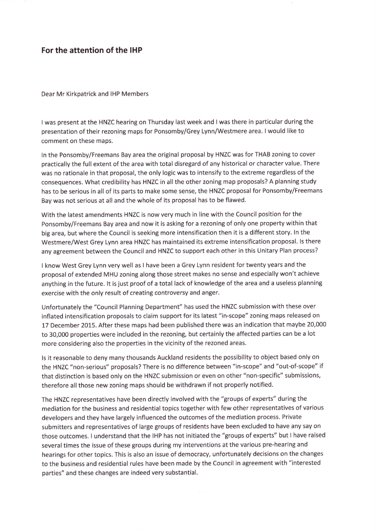## For the attention of the IHP

Dear Mr Kirkpatrick and IHP Members

<sup>I</sup>was present at the HNZC hearing on Thursday last week and I was there in particular during the presentation of their rezoning maps for Ponsomby/Grey Lynn/Westmere area. I would like to comment on these maps.

ln the Ponsomby/Freemans Bay area the original proposal by HNZC was for THAB zoning to cover practically the full extent of the area with total disregard of any historical or character value. There was no rationale in that proposal, the only logic was to intensify to the extreme regardless of the consequences. What credibility has HNZC in all the other zoning map proposals? A planning study has to be serious in all of its parts to make some sense, the HNZC proposal for Ponsomby/Freemans Bay was not serious at all and the whole of its proposal has to be flawed.

With the latest amendments HNZC is now very much in line with the Council position for the Ponsomby/Freemans Bay area and now it is asking for a rezoning of only one property within that big area, but where the Council is seeking more intensification then it is a different story. ln the Westmere/West Grey Lynn area HNZC has maintained its extreme intensification proposal. ls there any agreement between the Council and HNZC to support each other in this Unitary Plan process?

I know West Grey Lynn very well as I have been a Grey Lynn resident for twenty years and the proposal of extended MHU zoning along those street makes no sense and especially won't achieve anything in the future. lt is just proof of a total lack of knowledge of the area and a useless planning exercise with the only result of creating controversy and anger.

Unfortunately the "Council Planning Department" has used the HNZC submission with these over inflated intensification proposals to claim support for its latest "in-scope" zoning maps released on 17 December 2015. After these maps had been published there was an indication that maybe 20,000 to 30,000 properties were included in the rezoning, but certainly the affected parties can be a lot more considering also the properties in the vicinity of the rezoned areas.

ls it reasonable to deny many thousands Auckland residents the possibility to object based only on the HNZC "non-serious" proposals? There is no difference between "in-scope" and "out-of-scope" if that distinction is based only on the HNZC submission or even on other "non-specific" submissions, therefore all those new zoning maps should be withdrawn if not properly notified.

The HNZC representatives have been directly involved with the "groups of experts" during the mediation for the business and residential topics together with few other representatives of various developers and they have largely influenced the outcomes of the mediation process. Private submitters and representatives of large groups of residents have been excluded to have any say on those outcomes. I understand that the IHP has not initiated the "groups of experts" but I have raised several times the issue of these groups during my interventions at the various pre-hearing and hearings for other topics. This is also an issue of democracy, unfortunately decisions on the changes to the business and residential rules have been made by the Council in agreement with "interested parties" and these changes are indeed very substantial.